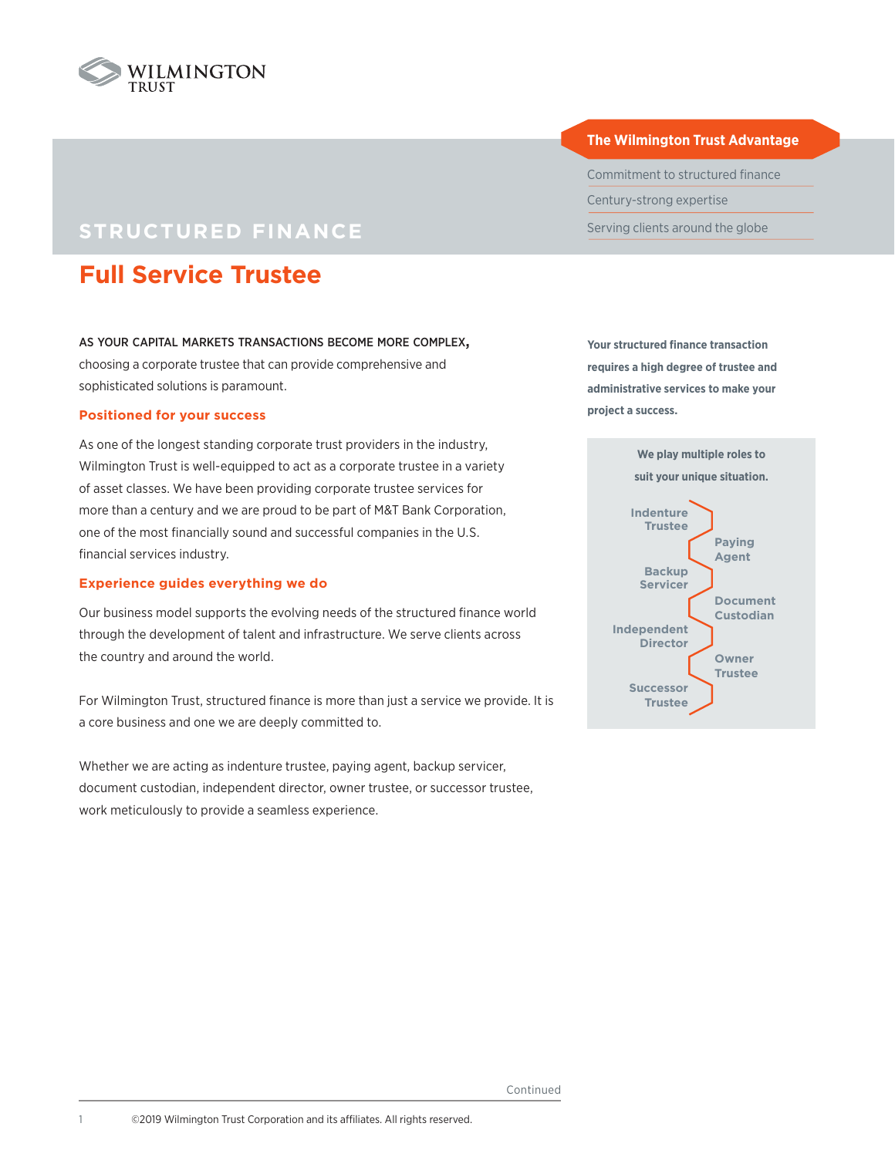

## **STRUCTURED FINANCE**

# **Full Service Trustee**

#### as your capital markets transactions become more complex,

choosing a corporate trustee that can provide comprehensive and sophisticated solutions is paramount.

#### **Positioned for your success**

As one of the longest standing corporate trust providers in the industry, Wilmington Trust is well-equipped to act as a corporate trustee in a variety of asset classes. We have been providing corporate trustee services for more than a century and we are proud to be part of M&T Bank Corporation, one of the most financially sound and successful companies in the U.S. financial services industry.

#### **Experience guides everything we do**

Our business model supports the evolving needs of the structured finance world through the development of talent and infrastructure. We serve clients across the country and around the world.

For Wilmington Trust, structured finance is more than just a service we provide. It is a core business and one we are deeply committed to.

Whether we are acting as indenture trustee, paying agent, backup servicer, document custodian, independent director, owner trustee, or successor trustee, work meticulously to provide a seamless experience.

#### **The Wilmington Trust Advantage**

Commitment to structured finance Century-strong expertise Serving clients around the globe

**Your structured finance transaction requires a high degree of trustee and administrative services to make your project a success.**